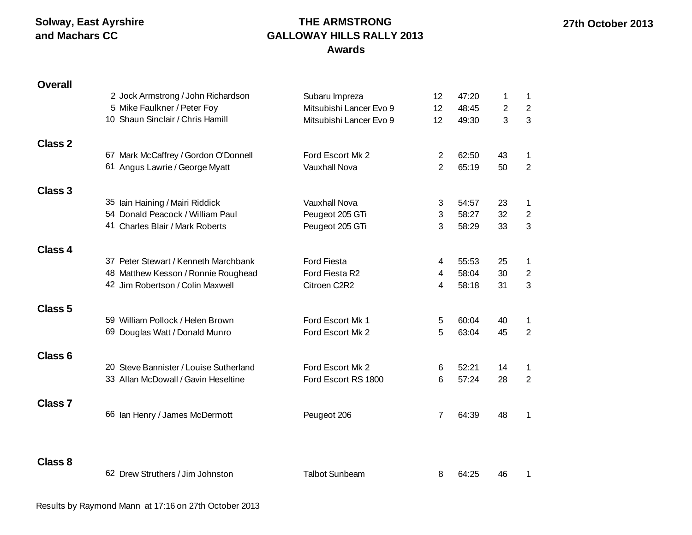# **THE ARMSTRONG GALLOWAY HILLS RALLY 2013 Awards**

| <b>Overall</b>     |                                        |                         |                 |       |                |                |
|--------------------|----------------------------------------|-------------------------|-----------------|-------|----------------|----------------|
|                    | 2 Jock Armstrong / John Richardson     | Subaru Impreza          | 12              | 47:20 | 1              | $\mathbf 1$    |
|                    | 5 Mike Faulkner / Peter Foy            | Mitsubishi Lancer Evo 9 | 12              | 48:45 | $\overline{2}$ | $\overline{2}$ |
|                    | 10 Shaun Sinclair / Chris Hamill       | Mitsubishi Lancer Evo 9 | 12 <sup>2</sup> | 49:30 | 3              | 3              |
| <b>Class 2</b>     |                                        |                         |                 |       |                |                |
|                    | 67 Mark McCaffrey / Gordon O'Donnell   | Ford Escort Mk 2        | 2               | 62:50 | 43             | 1              |
|                    | 61 Angus Lawrie / George Myatt         | <b>Vauxhall Nova</b>    | $\overline{2}$  | 65:19 | 50             | $\overline{2}$ |
| <b>Class 3</b>     |                                        |                         |                 |       |                |                |
|                    | 35 Iain Haining / Mairi Riddick        | <b>Vauxhall Nova</b>    | 3               | 54:57 | 23             | $\mathbf 1$    |
|                    | 54 Donald Peacock / William Paul       | Peugeot 205 GTi         | 3               | 58:27 | 32             | $\overline{c}$ |
|                    | 41 Charles Blair / Mark Roberts        | Peugeot 205 GTi         | 3               | 58:29 | 33             | $\mathfrak{S}$ |
| <b>Class 4</b>     |                                        |                         |                 |       |                |                |
|                    | 37 Peter Stewart / Kenneth Marchbank   | <b>Ford Fiesta</b>      | 4               | 55:53 | 25             | $\mathbf{1}$   |
|                    | 48 Matthew Kesson / Ronnie Roughead    | Ford Fiesta R2          | 4               | 58:04 | 30             | $\overline{c}$ |
|                    | 42 Jim Robertson / Colin Maxwell       | Citroen C2R2            | 4               | 58:18 | 31             | 3              |
| <b>Class 5</b>     |                                        |                         |                 |       |                |                |
|                    | 59 William Pollock / Helen Brown       | Ford Escort Mk 1        | 5               | 60:04 | 40             | 1              |
|                    | 69 Douglas Watt / Donald Munro         | Ford Escort Mk 2        | 5               | 63:04 | 45             | $\overline{2}$ |
| Class <sub>6</sub> |                                        |                         |                 |       |                |                |
|                    | 20 Steve Bannister / Louise Sutherland | Ford Escort Mk 2        | 6               | 52:21 | 14             | $\mathbf 1$    |
|                    | 33 Allan McDowall / Gavin Heseltine    | Ford Escort RS 1800     | 6               | 57:24 | 28             | $\overline{2}$ |
| <b>Class 7</b>     |                                        |                         |                 |       |                |                |
|                    | 66 Ian Henry / James McDermott         | Peugeot 206             | 7               | 64:39 | 48             | 1              |
|                    |                                        |                         |                 |       |                |                |
| <b>Class 8</b>     |                                        |                         |                 |       |                |                |
|                    | 62 Drew Struthers / Jim Johnston       | <b>Talbot Sunbeam</b>   | 8               | 64:25 | 46             | 1              |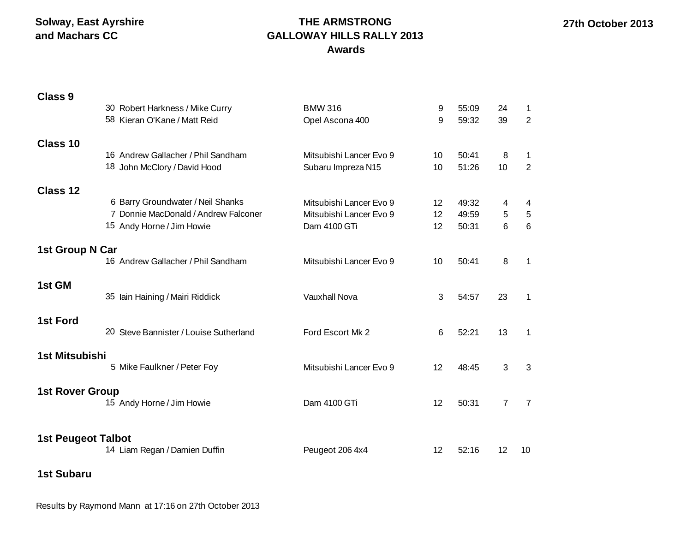# **THE ARMSTRONG GALLOWAY HILLS RALLY 2013 Awards**

| <b>Class 9</b>            |                                        |                         |                 |       |                |                |
|---------------------------|----------------------------------------|-------------------------|-----------------|-------|----------------|----------------|
|                           | 30 Robert Harkness / Mike Curry        | <b>BMW 316</b>          | 9               | 55:09 | 24             | 1              |
|                           | 58 Kieran O'Kane / Matt Reid           | Opel Ascona 400         | 9               | 59:32 | 39             | $\overline{2}$ |
| Class 10                  |                                        |                         |                 |       |                |                |
|                           | 16 Andrew Gallacher / Phil Sandham     | Mitsubishi Lancer Evo 9 | 10 <sup>°</sup> | 50:41 | 8              | 1              |
|                           | 18 John McClory / David Hood           | Subaru Impreza N15      | 10              | 51:26 | 10             | 2              |
| Class 12                  |                                        |                         |                 |       |                |                |
|                           | 6 Barry Groundwater / Neil Shanks      | Mitsubishi Lancer Evo 9 | 12              | 49:32 | 4              | 4              |
|                           | 7 Donnie MacDonald / Andrew Falconer   | Mitsubishi Lancer Evo 9 | 12              | 49:59 | 5              | $\,$ 5 $\,$    |
|                           | 15 Andy Horne / Jim Howie              | Dam 4100 GTi            | 12              | 50:31 | 6              | $6\phantom{a}$ |
| 1st Group N Car           |                                        |                         |                 |       |                |                |
|                           | 16 Andrew Gallacher / Phil Sandham     | Mitsubishi Lancer Evo 9 | 10              | 50:41 | 8              | $\mathbf{1}$   |
| 1st GM                    |                                        |                         |                 |       |                |                |
|                           | 35 Iain Haining / Mairi Riddick        | <b>Vauxhall Nova</b>    | 3               | 54:57 | 23             | 1              |
| <b>1st Ford</b>           |                                        |                         |                 |       |                |                |
|                           | 20 Steve Bannister / Louise Sutherland | Ford Escort Mk 2        | 6               | 52:21 | 13             | $\mathbf{1}$   |
| 1st Mitsubishi            |                                        |                         |                 |       |                |                |
|                           | 5 Mike Faulkner / Peter Foy            | Mitsubishi Lancer Evo 9 | 12              | 48:45 | 3              | 3              |
| <b>1st Rover Group</b>    |                                        |                         |                 |       |                |                |
|                           | 15 Andy Horne / Jim Howie              | Dam 4100 GTi            | 12              | 50:31 | $\overline{7}$ | $\overline{7}$ |
|                           |                                        |                         |                 |       |                |                |
| <b>1st Peugeot Talbot</b> |                                        |                         |                 |       |                |                |
|                           | 14 Liam Regan / Damien Duffin          | Peugeot 206 4x4         | 12              | 52:16 | 12             | 10             |

**1st Subaru**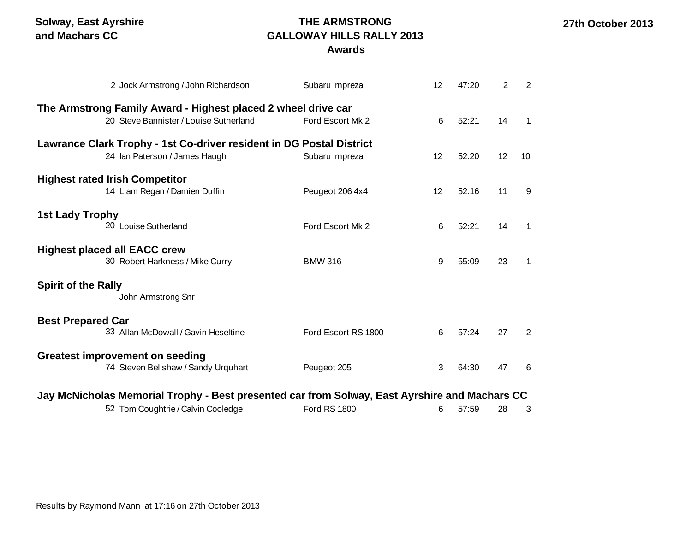# **THE ARMSTRONG GALLOWAY HILLS RALLY 2013**

**Awards**

|                                        | 2 Jock Armstrong / John Richardson                                                            | Subaru Impreza      | 12 | 47:20 | $\overline{2}$ | 2           |  |  |  |  |
|----------------------------------------|-----------------------------------------------------------------------------------------------|---------------------|----|-------|----------------|-------------|--|--|--|--|
|                                        | The Armstrong Family Award - Highest placed 2 wheel drive car                                 |                     |    |       |                |             |  |  |  |  |
|                                        | 20 Steve Bannister / Louise Sutherland                                                        | Ford Escort Mk 2    | 6  | 52:21 | 14             | 1           |  |  |  |  |
|                                        | Lawrance Clark Trophy - 1st Co-driver resident in DG Postal District                          |                     |    |       |                |             |  |  |  |  |
|                                        | 24 Ian Paterson / James Haugh                                                                 | Subaru Impreza      | 12 | 52:20 | 12             | 10          |  |  |  |  |
| <b>Highest rated Irish Competitor</b>  |                                                                                               |                     |    |       |                |             |  |  |  |  |
|                                        | 14 Liam Regan / Damien Duffin                                                                 | Peugeot 206 4x4     | 12 | 52:16 | 11             | 9           |  |  |  |  |
| <b>1st Lady Trophy</b>                 |                                                                                               |                     |    |       |                |             |  |  |  |  |
|                                        | 20 Louise Sutherland                                                                          | Ford Escort Mk 2    | 6  | 52:21 | 14             | 1           |  |  |  |  |
| <b>Highest placed all EACC crew</b>    |                                                                                               |                     |    |       |                |             |  |  |  |  |
|                                        | 30 Robert Harkness / Mike Curry                                                               | <b>BMW 316</b>      | 9  | 55:09 | 23             | $\mathbf 1$ |  |  |  |  |
| <b>Spirit of the Rally</b>             |                                                                                               |                     |    |       |                |             |  |  |  |  |
|                                        | John Armstrong Snr                                                                            |                     |    |       |                |             |  |  |  |  |
| <b>Best Prepared Car</b>               |                                                                                               |                     |    |       |                |             |  |  |  |  |
|                                        | 33 Allan McDowall / Gavin Heseltine                                                           | Ford Escort RS 1800 | 6  | 57:24 | 27             | 2           |  |  |  |  |
| <b>Greatest improvement on seeding</b> |                                                                                               |                     |    |       |                |             |  |  |  |  |
|                                        | 74 Steven Bellshaw / Sandy Urquhart                                                           | Peugeot 205         | 3  | 64:30 | 47             | 6           |  |  |  |  |
|                                        |                                                                                               |                     |    |       |                |             |  |  |  |  |
|                                        | Jay McNicholas Memorial Trophy - Best presented car from Solway, East Ayrshire and Machars CC |                     |    |       |                |             |  |  |  |  |
|                                        | 52 Tom Coughtrie / Calvin Cooledge                                                            | <b>Ford RS 1800</b> | 6  | 57:59 | 28             | 3           |  |  |  |  |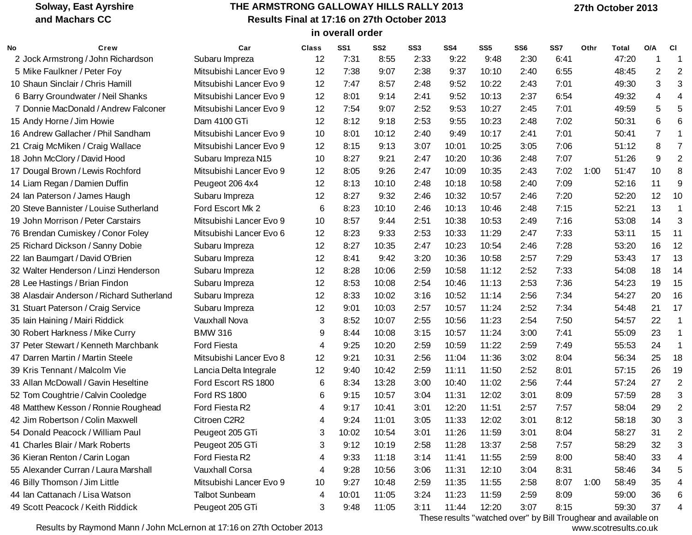#### **THE ARMSTRONG GALLOWAY HILLS RALLY 2013 Results Final at 17:16 on 27th October 2013 in overall order**

| No | Crew                                      | Car                     | <b>Class</b> | SS <sub>1</sub> | SS <sub>2</sub> | SS <sub>3</sub> | SS4   | SS5   | SS <sub>6</sub> | SS7  | Othr | Total | O/A | <b>CI</b>               |
|----|-------------------------------------------|-------------------------|--------------|-----------------|-----------------|-----------------|-------|-------|-----------------|------|------|-------|-----|-------------------------|
|    | 2 Jock Armstrong / John Richardson        | Subaru Impreza          | 12           | 7:31            | 8:55            | 2:33            | 9:22  | 9:48  | 2:30            | 6:41 |      | 47:20 | ٠   | -1                      |
|    | 5 Mike Faulkner / Peter Foy               | Mitsubishi Lancer Evo 9 | 12           | 7:38            | 9:07            | 2:38            | 9:37  | 10:10 | 2:40            | 6:55 |      | 48:45 | 2   | $\overline{2}$          |
|    | 10 Shaun Sinclair / Chris Hamill          | Mitsubishi Lancer Evo 9 | 12           | 7:47            | 8:57            | 2:48            | 9:52  | 10:22 | 2:43            | 7:01 |      | 49:30 | 3   | 3                       |
|    | 6 Barry Groundwater / Neil Shanks         | Mitsubishi Lancer Evo 9 | 12           | 8:01            | 9:14            | 2:41            | 9:52  | 10:13 | 2:37            | 6:54 |      | 49:32 | 4   | 4                       |
|    | 7 Donnie MacDonald / Andrew Falconer      | Mitsubishi Lancer Evo 9 | 12           | 7:54            | 9:07            | 2:52            | 9:53  | 10:27 | 2:45            | 7:01 |      | 49:59 | 5   | 5                       |
|    | 15 Andy Horne / Jim Howie                 | Dam 4100 GTi            | 12           | 8:12            | 9:18            | 2:53            | 9:55  | 10:23 | 2:48            | 7:02 |      | 50:31 | 6   | 6                       |
|    | 16 Andrew Gallacher / Phil Sandham        | Mitsubishi Lancer Evo 9 | 10           | 8:01            | 10:12           | 2:40            | 9:49  | 10:17 | 2:41            | 7:01 |      | 50:41 | 7   | 1                       |
|    | 21 Craig McMiken / Craig Wallace          | Mitsubishi Lancer Evo 9 | 12           | 8:15            | 9:13            | 3:07            | 10:01 | 10:25 | 3:05            | 7:06 |      | 51:12 | 8   | $\overline{7}$          |
|    | 18 John McClory / David Hood              | Subaru Impreza N15      | 10           | 8:27            | 9:21            | 2:47            | 10:20 | 10:36 | 2:48            | 7:07 |      | 51:26 | 9   | $\overline{2}$          |
|    | 17 Dougal Brown / Lewis Rochford          | Mitsubishi Lancer Evo 9 | 12           | 8:05            | 9:26            | 2:47            | 10:09 | 10:35 | 2:43            | 7:02 | 1:00 | 51:47 | 10  | 8                       |
|    | 14 Liam Regan / Damien Duffin             | Peugeot 206 4x4         | 12           | 8:13            | 10:10           | 2:48            | 10:18 | 10:58 | 2:40            | 7:09 |      | 52:16 | 11  | 9                       |
|    | 24 Ian Paterson / James Haugh             | Subaru Impreza          | 12           | 8:27            | 9:32            | 2:46            | 10:32 | 10:57 | 2:46            | 7:20 |      | 52:20 | 12  | 10                      |
|    | 20 Steve Bannister / Louise Sutherland    | Ford Escort Mk 2        | 6            | 8:23            | 10:10           | 2:46            | 10:13 | 10:46 | 2:48            | 7:15 |      | 52:21 | 13  | -1                      |
|    | 19 John Morrison / Peter Carstairs        | Mitsubishi Lancer Evo 9 | 10           | 8:57            | 9:44            | 2:51            | 10:38 | 10:53 | 2:49            | 7:16 |      | 53:08 | 14  | 3                       |
|    | 76 Brendan Cumiskey / Conor Foley         | Mitsubishi Lancer Evo 6 | 12           | 8:23            | 9:33            | 2:53            | 10:33 | 11:29 | 2:47            | 7:33 |      | 53:11 | 15  | 11                      |
|    | 25 Richard Dickson / Sanny Dobie          | Subaru Impreza          | 12           | 8:27            | 10:35           | 2:47            | 10:23 | 10:54 | 2:46            | 7:28 |      | 53:20 | 16  | 12                      |
|    | 22 Ian Baumgart / David O'Brien           | Subaru Impreza          | 12           | 8:41            | 9:42            | 3:20            | 10:36 | 10:58 | 2:57            | 7:29 |      | 53:43 | 17  | 13                      |
|    | 32 Walter Henderson / Linzi Henderson     | Subaru Impreza          | 12           | 8:28            | 10:06           | 2:59            | 10:58 | 11:12 | 2:52            | 7:33 |      | 54:08 | 18  | 14                      |
|    | 28 Lee Hastings / Brian Findon            | Subaru Impreza          | 12           | 8:53            | 10:08           | 2:54            | 10:46 | 11:13 | 2:53            | 7:36 |      | 54:23 | 19  | 15                      |
|    | 38 Alasdair Anderson / Richard Sutherland | Subaru Impreza          | 12           | 8:33            | 10:02           | 3:16            | 10:52 | 11:14 | 2:56            | 7:34 |      | 54:27 | 20  | 16                      |
|    | 31 Stuart Paterson / Craig Service        | Subaru Impreza          | 12           | 9:01            | 10:03           | 2:57            | 10:57 | 11:24 | 2:52            | 7:34 |      | 54:48 | 21  | 17                      |
|    | 35 Iain Haining / Mairi Riddick           | <b>Vauxhall Nova</b>    | 3            | 8:52            | 10:07           | 2:55            | 10:56 | 11:23 | 2:54            | 7:50 |      | 54:57 | 22  | -1                      |
|    | 30 Robert Harkness / Mike Curry           | <b>BMW 316</b>          | 9            | 8:44            | 10:08           | 3:15            | 10:57 | 11:24 | 3:00            | 7:41 |      | 55:09 | 23  | -1                      |
|    | 37 Peter Stewart / Kenneth Marchbank      | <b>Ford Fiesta</b>      | 4            | 9:25            | 10:20           | 2:59            | 10:59 | 11:22 | 2:59            | 7:49 |      | 55:53 | 24  | $\overline{\mathbf{1}}$ |
|    | 47 Darren Martin / Martin Steele          | Mitsubishi Lancer Evo 8 | 12           | 9:21            | 10:31           | 2:56            | 11:04 | 11:36 | 3:02            | 8:04 |      | 56:34 | 25  | 18                      |
|    | 39 Kris Tennant / Malcolm Vie             | Lancia Delta Integrale  | 12           | 9:40            | 10:42           | 2:59            | 11:11 | 11:50 | 2:52            | 8:01 |      | 57:15 | 26  | 19                      |
|    | 33 Allan McDowall / Gavin Heseltine       | Ford Escort RS 1800     | 6            | 8:34            | 13:28           | 3:00            | 10:40 | 11:02 | 2:56            | 7:44 |      | 57:24 | 27  | $\overline{2}$          |
|    | 52 Tom Coughtrie / Calvin Cooledge        | <b>Ford RS 1800</b>     | 6            | 9:15            | 10:57           | 3:04            | 11:31 | 12:02 | 3:01            | 8:09 |      | 57:59 | 28  | 3                       |
|    | 48 Matthew Kesson / Ronnie Roughead       | Ford Fiesta R2          | 4            | 9:17            | 10:41           | 3:01            | 12:20 | 11:51 | 2:57            | 7:57 |      | 58:04 | 29  | $\overline{2}$          |
|    | 42 Jim Robertson / Colin Maxwell          | Citroen C2R2            | 4            | 9:24            | 11:01           | 3:05            | 11:33 | 12:02 | 3:01            | 8:12 |      | 58:18 | 30  | 3                       |
|    | 54 Donald Peacock / William Paul          | Peugeot 205 GTi         | 3            | 10:02           | 10:54           | 3:01            | 11:26 | 11:59 | 3:01            | 8:04 |      | 58:27 | 31  | $\overline{2}$          |
|    | 41 Charles Blair / Mark Roberts           | Peugeot 205 GTi         | 3            | 9:12            | 10:19           | 2:58            | 11:28 | 13:37 | 2:58            | 7:57 |      | 58:29 | 32  |                         |
|    | 36 Kieran Renton / Carin Logan            | Ford Fiesta R2          | 4            | 9:33            | 11:18           | 3:14            | 11:41 | 11:55 | 2:59            | 8:00 |      | 58:40 | 33  |                         |
|    | 55 Alexander Curran / Laura Marshall      | <b>Vauxhall Corsa</b>   | 4            | 9:28            | 10:56           | 3:06            | 11:31 | 12:10 | 3:04            | 8:31 |      | 58:46 | 34  | 5                       |
|    | 46 Billy Thomson / Jim Little             | Mitsubishi Lancer Evo 9 | 10           | 9:27            | 10:48           | 2:59            | 11:35 | 11:55 | 2:58            | 8:07 | 1:00 | 58:49 | 35  |                         |
|    | 44 Ian Cattanach / Lisa Watson            | <b>Talbot Sunbeam</b>   | 4            | 10:01           | 11:05           | 3:24            | 11:23 | 11:59 | 2:59            | 8:09 |      | 59:00 | 36  | 6                       |
|    | 49 Scott Peacock / Keith Riddick          | Peugeot 205 GTi         | 3            | 9:48            | 11:05           | 3:11            | 11:44 | 12:20 | 3:07            | 8:15 |      | 59:30 | 37  | 4                       |

Results by Raymond Mann / John McLernon at 17:16 on 27th October 2013

These results "watched over" by Bill Troughear and available on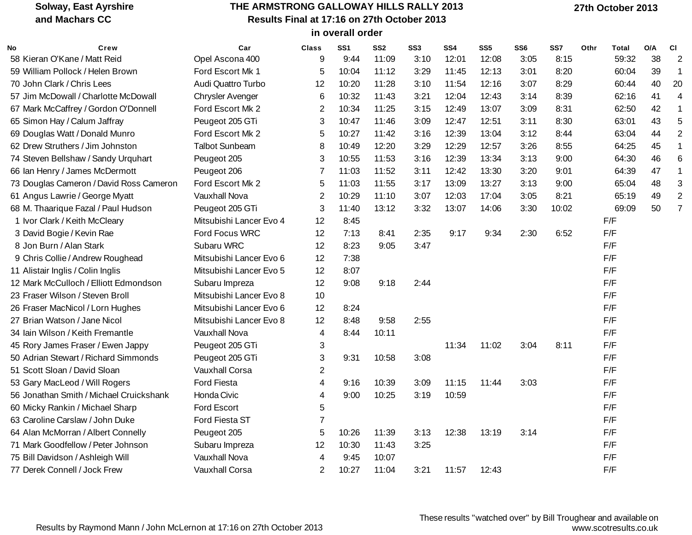#### **THE ARMSTRONG GALLOWAY HILLS RALLY 2013 Results Final at 17:16 on 27th October 2013 in overall order**

| No | Crew                                    | Car                     | <b>Class</b>   | SS <sub>1</sub> | SS <sub>2</sub> | SS <sub>3</sub> | SS <sub>4</sub> | SS <sub>5</sub> | SS <sub>6</sub> | SS7   | Othr | Total | O/A | <b>CI</b>      |
|----|-----------------------------------------|-------------------------|----------------|-----------------|-----------------|-----------------|-----------------|-----------------|-----------------|-------|------|-------|-----|----------------|
|    | 58 Kieran O'Kane / Matt Reid            | Opel Ascona 400         | 9              | 9:44            | 11:09           | 3:10            | 12:01           | 12:08           | 3:05            | 8:15  |      | 59:32 | 38  | $\overline{2}$ |
|    | 59 William Pollock / Helen Brown        | Ford Escort Mk 1        | 5              | 10:04           | 11:12           | 3:29            | 11:45           | 12:13           | 3:01            | 8:20  |      | 60:04 | 39  |                |
|    | 70 John Clark / Chris Lees              | Audi Quattro Turbo      | 12             | 10:20           | 11:28           | 3:10            | 11:54           | 12:16           | 3:07            | 8:29  |      | 60:44 | 40  | 20             |
|    | 57 Jim McDowall / Charlotte McDowall    | <b>Chrysler Avenger</b> | 6              | 10:32           | 11:43           | 3:21            | 12:04           | 12:43           | 3:14            | 8:39  |      | 62:16 | 41  | 4              |
|    | 67 Mark McCaffrey / Gordon O'Donnell    | Ford Escort Mk 2        | $\overline{2}$ | 10:34           | 11:25           | 3:15            | 12:49           | 13:07           | 3:09            | 8:31  |      | 62:50 | 42  |                |
|    | 65 Simon Hay / Calum Jaffray            | Peugeot 205 GTi         | 3              | 10:47           | 11:46           | 3:09            | 12:47           | 12:51           | 3:11            | 8:30  |      | 63:01 | 43  | 5              |
|    | 69 Douglas Watt / Donald Munro          | Ford Escort Mk 2        | 5              | 10:27           | 11:42           | 3:16            | 12:39           | 13:04           | 3:12            | 8:44  |      | 63:04 | 44  |                |
|    | 62 Drew Struthers / Jim Johnston        | <b>Talbot Sunbeam</b>   | 8              | 10:49           | 12:20           | 3:29            | 12:29           | 12:57           | 3:26            | 8:55  |      | 64:25 | 45  |                |
|    | 74 Steven Bellshaw / Sandy Urquhart     | Peugeot 205             | 3              | 10:55           | 11:53           | 3:16            | 12:39           | 13:34           | 3:13            | 9:00  |      | 64:30 | 46  |                |
|    | 66 Ian Henry / James McDermott          | Peugeot 206             | $\overline{7}$ | 11:03           | 11:52           | 3:11            | 12:42           | 13:30           | 3:20            | 9:01  |      | 64:39 | 47  |                |
|    | 73 Douglas Cameron / David Ross Cameron | Ford Escort Mk 2        | 5              | 11:03           | 11:55           | 3:17            | 13:09           | 13:27           | 3:13            | 9:00  |      | 65:04 | 48  |                |
|    | 61 Angus Lawrie / George Myatt          | <b>Vauxhall Nova</b>    | 2              | 10:29           | 11:10           | 3:07            | 12:03           | 17:04           | 3:05            | 8:21  |      | 65:19 | 49  |                |
|    | 68 M. Thaarique Fazal / Paul Hudson     | Peugeot 205 GTi         | 3              | 11:40           | 13:12           | 3:32            | 13:07           | 14:06           | 3:30            | 10:02 |      | 69:09 | 50  |                |
|    | 1 Ivor Clark / Keith McCleary           | Mitsubishi Lancer Evo 4 | 12             | 8:45            |                 |                 |                 |                 |                 |       |      | F/F   |     |                |
|    | 3 David Bogie / Kevin Rae               | Ford Focus WRC          | 12             | 7:13            | 8:41            | 2:35            | 9:17            | 9:34            | 2:30            | 6:52  |      | F/F   |     |                |
|    | 8 Jon Burn / Alan Stark                 | Subaru WRC              | 12             | 8:23            | 9:05            | 3:47            |                 |                 |                 |       |      | F/F   |     |                |
|    | 9 Chris Collie / Andrew Roughead        | Mitsubishi Lancer Evo 6 | 12             | 7:38            |                 |                 |                 |                 |                 |       |      | F/F   |     |                |
|    | 11 Alistair Inglis / Colin Inglis       | Mitsubishi Lancer Evo 5 | 12             | 8:07            |                 |                 |                 |                 |                 |       |      | F/F   |     |                |
|    | 12 Mark McCulloch / Elliott Edmondson   | Subaru Impreza          | 12             | 9:08            | 9:18            | 2:44            |                 |                 |                 |       |      | F/F   |     |                |
|    | 23 Fraser Wilson / Steven Broll         | Mitsubishi Lancer Evo 8 | 10             |                 |                 |                 |                 |                 |                 |       |      | F/F   |     |                |
|    | 26 Fraser MacNicol / Lorn Hughes        | Mitsubishi Lancer Evo 6 | 12             | 8:24            |                 |                 |                 |                 |                 |       |      | F/F   |     |                |
|    | 27 Brian Watson / Jane Nicol            | Mitsubishi Lancer Evo 8 | 12             | 8:48            | 9:58            | 2:55            |                 |                 |                 |       |      | F/F   |     |                |
|    | 34 Iain Wilson / Keith Fremantle        | Vauxhall Nova           | 4              | 8:44            | 10:11           |                 |                 |                 |                 |       |      | F/F   |     |                |
|    | 45 Rory James Fraser / Ewen Jappy       | Peugeot 205 GTi         | 3              |                 |                 |                 | 11:34           | 11:02           | 3:04            | 8:11  |      | F/F   |     |                |
|    | 50 Adrian Stewart / Richard Simmonds    | Peugeot 205 GTi         | 3              | 9:31            | 10:58           | 3:08            |                 |                 |                 |       |      | F/F   |     |                |
|    | 51 Scott Sloan / David Sloan            | <b>Vauxhall Corsa</b>   | 2              |                 |                 |                 |                 |                 |                 |       |      | F/F   |     |                |
|    | 53 Gary MacLeod / Will Rogers           | Ford Fiesta             | 4              | 9:16            | 10:39           | 3:09            | 11:15           | 11:44           | 3:03            |       |      | F/F   |     |                |
|    | 56 Jonathan Smith / Michael Cruickshank | Honda Civic             | 4              | 9:00            | 10:25           | 3:19            | 10:59           |                 |                 |       |      | F/F   |     |                |
|    | 60 Micky Rankin / Michael Sharp         | <b>Ford Escort</b>      | 5              |                 |                 |                 |                 |                 |                 |       |      | F/F   |     |                |
|    | 63 Caroline Carslaw / John Duke         | Ford Fiesta ST          | 7              |                 |                 |                 |                 |                 |                 |       |      | F/F   |     |                |
|    | 64 Alan McMorran / Albert Connelly      | Peugeot 205             | 5              | 10:26           | 11:39           | 3:13            | 12:38           | 13:19           | 3:14            |       |      | F/F   |     |                |
|    | 71 Mark Goodfellow / Peter Johnson      | Subaru Impreza          | 12             | 10:30           | 11:43           | 3:25            |                 |                 |                 |       |      | F/F   |     |                |
|    | 75 Bill Davidson / Ashleigh Will        | <b>Vauxhall Nova</b>    | $\overline{4}$ | 9:45            | 10:07           |                 |                 |                 |                 |       |      | F/F   |     |                |
|    | 77 Derek Connell / Jock Frew            | <b>Vauxhall Corsa</b>   | 2              | 10:27           | 11:04           | 3:21            | 11:57           | 12:43           |                 |       |      | F/F   |     |                |

Results by Raymond Mann / John McLernon at 17:16 on 27th October 2013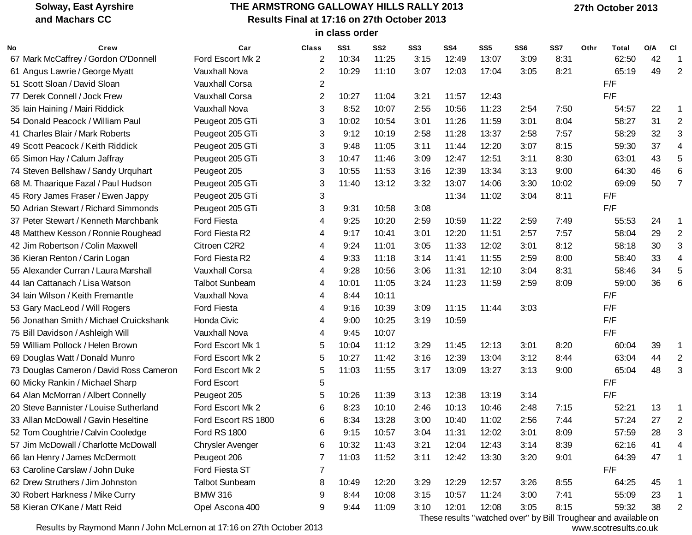# **THE ARMSTRONG GALLOWAY HILLS RALLY 2013 Results Final at 17:16 on 27th October 2013**

 **27th October 2013**

| Results Final at 17:16 on 27th October 2013 |  |
|---------------------------------------------|--|
| in class order                              |  |

| No | Crew                                    | Car                     | Class          | SS <sub>1</sub> | SS <sub>2</sub> | SS <sub>3</sub> | SS <sub>4</sub> | SS <sub>5</sub> | SS <sub>6</sub> | SS7   | Othr | Total | O/A | <b>CI</b>      |
|----|-----------------------------------------|-------------------------|----------------|-----------------|-----------------|-----------------|-----------------|-----------------|-----------------|-------|------|-------|-----|----------------|
|    | 67 Mark McCaffrey / Gordon O'Donnell    | Ford Escort Mk 2        | 2              | 10:34           | 11:25           | 3:15            | 12:49           | 13:07           | 3:09            | 8:31  |      | 62:50 | 42  | -1             |
|    | 61 Angus Lawrie / George Myatt          | <b>Vauxhall Nova</b>    | 2              | 10:29           | 11:10           | 3:07            | 12:03           | 17:04           | 3:05            | 8:21  |      | 65:19 | 49  | 2              |
|    | 51 Scott Sloan / David Sloan            | <b>Vauxhall Corsa</b>   | 2              |                 |                 |                 |                 |                 |                 |       |      | F/F   |     |                |
|    | 77 Derek Connell / Jock Frew            | <b>Vauxhall Corsa</b>   | $\overline{c}$ | 10:27           | 11:04           | 3:21            | 11:57           | 12:43           |                 |       |      | F/F   |     |                |
|    | 35 Iain Haining / Mairi Riddick         | <b>Vauxhall Nova</b>    | 3              | 8:52            | 10:07           | 2:55            | 10:56           | 11:23           | 2:54            | 7:50  |      | 54:57 | 22  |                |
|    | 54 Donald Peacock / William Paul        | Peugeot 205 GTi         | 3              | 10:02           | 10:54           | 3:01            | 11:26           | 11:59           | 3:01            | 8:04  |      | 58:27 | 31  | $\overline{2}$ |
|    | 41 Charles Blair / Mark Roberts         | Peugeot 205 GTi         | 3              | 9:12            | 10:19           | 2:58            | 11:28           | 13:37           | 2:58            | 7:57  |      | 58:29 | 32  | 3              |
|    | 49 Scott Peacock / Keith Riddick        | Peugeot 205 GTi         | 3              | 9:48            | 11:05           | 3:11            | 11:44           | 12:20           | 3:07            | 8:15  |      | 59:30 | 37  | 4              |
|    | 65 Simon Hay / Calum Jaffray            | Peugeot 205 GTi         | 3              | 10:47           | 11:46           | 3:09            | 12:47           | 12:51           | 3:11            | 8:30  |      | 63:01 | 43  | 5              |
|    | 74 Steven Bellshaw / Sandy Urquhart     | Peugeot 205             | 3              | 10:55           | 11:53           | 3:16            | 12:39           | 13:34           | 3:13            | 9:00  |      | 64:30 | 46  | 6              |
|    | 68 M. Thaarique Fazal / Paul Hudson     | Peugeot 205 GTi         | 3              | 11:40           | 13:12           | 3:32            | 13:07           | 14:06           | 3:30            | 10:02 |      | 69:09 | 50  | $\overline{7}$ |
|    | 45 Rory James Fraser / Ewen Jappy       | Peugeot 205 GTi         | 3              |                 |                 |                 | 11:34           | 11:02           | 3:04            | 8:11  |      | F/F   |     |                |
|    | 50 Adrian Stewart / Richard Simmonds    | Peugeot 205 GTi         | 3              | 9:31            | 10:58           | 3:08            |                 |                 |                 |       |      | F/F   |     |                |
|    | 37 Peter Stewart / Kenneth Marchbank    | <b>Ford Fiesta</b>      | 4              | 9:25            | 10:20           | 2:59            | 10:59           | 11:22           | 2:59            | 7:49  |      | 55:53 | 24  |                |
|    | 48 Matthew Kesson / Ronnie Roughead     | Ford Fiesta R2          | 4              | 9:17            | 10:41           | 3:01            | 12:20           | 11:51           | 2:57            | 7:57  |      | 58:04 | 29  | 2              |
|    | 42 Jim Robertson / Colin Maxwell        | Citroen C2R2            | 4              | 9:24            | 11:01           | 3:05            | 11:33           | 12:02           | 3:01            | 8:12  |      | 58:18 | 30  | 3              |
|    | 36 Kieran Renton / Carin Logan          | Ford Fiesta R2          | 4              | 9:33            | 11:18           | 3:14            | 11:41           | 11:55           | 2:59            | 8:00  |      | 58:40 | 33  | 4              |
|    | 55 Alexander Curran / Laura Marshall    | <b>Vauxhall Corsa</b>   | 4              | 9:28            | 10:56           | 3:06            | 11:31           | 12:10           | 3:04            | 8:31  |      | 58:46 | 34  | 5              |
|    | 44 Ian Cattanach / Lisa Watson          | <b>Talbot Sunbeam</b>   | 4              | 10:01           | 11:05           | 3:24            | 11:23           | 11:59           | 2:59            | 8:09  |      | 59:00 | 36  | 6              |
|    | 34 Iain Wilson / Keith Fremantle        | Vauxhall Nova           | 4              | 8:44            | 10:11           |                 |                 |                 |                 |       |      | F/F   |     |                |
|    | 53 Gary MacLeod / Will Rogers           | <b>Ford Fiesta</b>      | 4              | 9:16            | 10:39           | 3:09            | 11:15           | 11:44           | 3:03            |       |      | F/F   |     |                |
|    | 56 Jonathan Smith / Michael Cruickshank | Honda Civic             | 4              | 9:00            | 10:25           | 3:19            | 10:59           |                 |                 |       |      | F/F   |     |                |
|    | 75 Bill Davidson / Ashleigh Will        | <b>Vauxhall Nova</b>    | 4              | 9:45            | 10:07           |                 |                 |                 |                 |       |      | F/F   |     |                |
|    | 59 William Pollock / Helen Brown        | Ford Escort Mk 1        | 5              | 10:04           | 11:12           | 3:29            | 11:45           | 12:13           | 3:01            | 8:20  |      | 60:04 | 39  |                |
|    | 69 Douglas Watt / Donald Munro          | Ford Escort Mk 2        | 5              | 10:27           | 11:42           | 3:16            | 12:39           | 13:04           | 3:12            | 8:44  |      | 63:04 | 44  | $\overline{2}$ |
|    | 73 Douglas Cameron / David Ross Cameron | Ford Escort Mk 2        | 5              | 11:03           | 11:55           | 3:17            | 13:09           | 13:27           | 3:13            | 9:00  |      | 65:04 | 48  | 3              |
|    | 60 Micky Rankin / Michael Sharp         | Ford Escort             | 5              |                 |                 |                 |                 |                 |                 |       |      | F/F   |     |                |
|    | 64 Alan McMorran / Albert Connelly      | Peugeot 205             | 5              | 10:26           | 11:39           | 3:13            | 12:38           | 13:19           | 3:14            |       |      | F/F   |     |                |
|    | 20 Steve Bannister / Louise Sutherland  | Ford Escort Mk 2        | 6              | 8:23            | 10:10           | 2:46            | 10:13           | 10:46           | 2:48            | 7:15  |      | 52:21 | 13  |                |
|    | 33 Allan McDowall / Gavin Heseltine     | Ford Escort RS 1800     | 6              | 8:34            | 13:28           | 3:00            | 10:40           | 11:02           | 2:56            | 7:44  |      | 57:24 | 27  | 2              |
|    | 52 Tom Coughtrie / Calvin Cooledge      | <b>Ford RS 1800</b>     | 6              | 9:15            | 10:57           | 3:04            | 11:31           | 12:02           | 3:01            | 8:09  |      | 57:59 | 28  | 3              |
|    | 57 Jim McDowall / Charlotte McDowall    | <b>Chrysler Avenger</b> | 6              | 10:32           | 11:43           | 3:21            | 12:04           | 12:43           | 3:14            | 8:39  |      | 62:16 | 41  | 4              |
|    | 66 Ian Henry / James McDermott          | Peugeot 206             | 7              | 11:03           | 11:52           | 3:11            | 12:42           | 13:30           | 3:20            | 9:01  |      | 64:39 | 47  | -1             |
|    | 63 Caroline Carslaw / John Duke         | Ford Fiesta ST          | 7              |                 |                 |                 |                 |                 |                 |       |      | F/F   |     |                |
|    | 62 Drew Struthers / Jim Johnston        | <b>Talbot Sunbeam</b>   | 8              | 10:49           | 12:20           | 3:29            | 12:29           | 12:57           | 3:26            | 8:55  |      | 64:25 | 45  |                |
|    | 30 Robert Harkness / Mike Curry         | <b>BMW 316</b>          | 9              | 8:44            | 10:08           | 3:15            | 10:57           | 11:24           | 3:00            | 7:41  |      | 55:09 | 23  |                |
|    | 58 Kieran O'Kane / Matt Reid            | Opel Ascona 400         | 9              | 9:44            | 11:09           | 3:10            | 12:01           | 12:08           | 3:05            | 8:15  |      | 59:32 | 38  | $\overline{2}$ |

Results by Raymond Mann / John McLernon at 17:16 on 27th October 2013

These results "watched over" by Bill Troughear and available on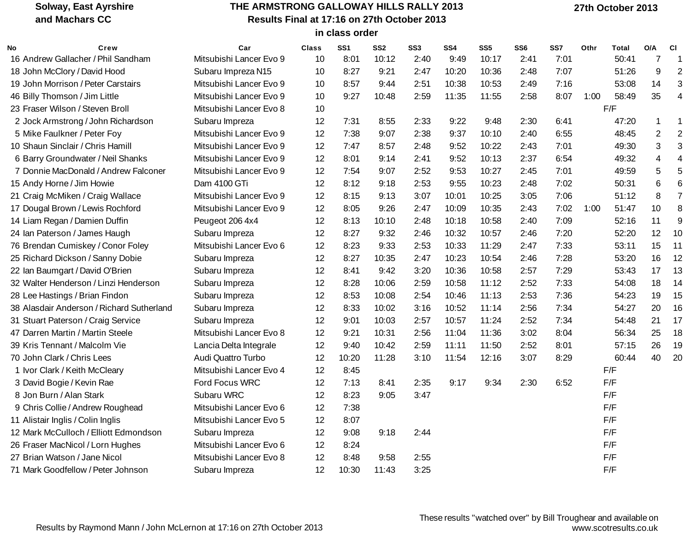# **THE ARMSTRONG GALLOWAY HILLS RALLY 2013 Results Final at 17:16 on 27th October 2013**

 **27th October 2013**

|  | in class order |
|--|----------------|

| No | Crew                                      | Car                     | <b>Class</b> | SS <sub>1</sub> | SS <sub>2</sub> | SS <sub>3</sub> | SS <sub>4</sub> | SS <sub>5</sub> | SS <sub>6</sub> | SS7  | Othr | Total | O/A            | <b>CI</b>      |
|----|-------------------------------------------|-------------------------|--------------|-----------------|-----------------|-----------------|-----------------|-----------------|-----------------|------|------|-------|----------------|----------------|
|    | 16 Andrew Gallacher / Phil Sandham        | Mitsubishi Lancer Evo 9 | 10           | 8:01            | 10:12           | 2:40            | 9:49            | 10:17           | 2:41            | 7:01 |      | 50:41 | 7              | 1              |
|    | 18 John McClory / David Hood              | Subaru Impreza N15      | 10           | 8:27            | 9:21            | 2:47            | 10:20           | 10:36           | 2:48            | 7:07 |      | 51:26 | 9              | $\overline{2}$ |
|    | 19 John Morrison / Peter Carstairs        | Mitsubishi Lancer Evo 9 | 10           | 8:57            | 9:44            | 2:51            | 10:38           | 10:53           | 2:49            | 7:16 |      | 53:08 | 14             | 3              |
|    | 46 Billy Thomson / Jim Little             | Mitsubishi Lancer Evo 9 | 10           | 9:27            | 10:48           | 2:59            | 11:35           | 11:55           | 2:58            | 8:07 | 1:00 | 58:49 | 35             | $\overline{4}$ |
|    | 23 Fraser Wilson / Steven Broll           | Mitsubishi Lancer Evo 8 | 10           |                 |                 |                 |                 |                 |                 |      |      | F/F   |                |                |
|    | 2 Jock Armstrong / John Richardson        | Subaru Impreza          | 12           | 7:31            | 8:55            | 2:33            | 9:22            | 9:48            | 2:30            | 6:41 |      | 47:20 | -1             | 1              |
|    | 5 Mike Faulkner / Peter Foy               | Mitsubishi Lancer Evo 9 | 12           | 7:38            | 9:07            | 2:38            | 9:37            | 10:10           | 2:40            | 6:55 |      | 48:45 | $\overline{2}$ | $\overline{2}$ |
|    | 10 Shaun Sinclair / Chris Hamill          | Mitsubishi Lancer Evo 9 | 12           | 7:47            | 8:57            | 2:48            | 9:52            | 10:22           | 2:43            | 7:01 |      | 49:30 | $\sqrt{3}$     | 3              |
|    | 6 Barry Groundwater / Neil Shanks         | Mitsubishi Lancer Evo 9 | 12           | 8:01            | 9:14            | 2:41            | 9:52            | 10:13           | 2:37            | 6:54 |      | 49:32 | $\overline{4}$ | $\overline{4}$ |
|    | 7 Donnie MacDonald / Andrew Falconer      | Mitsubishi Lancer Evo 9 | 12           | 7:54            | 9:07            | 2:52            | 9:53            | 10:27           | 2:45            | 7:01 |      | 49:59 | 5              | 5              |
|    | 15 Andy Horne / Jim Howie                 | Dam 4100 GTi            | 12           | 8:12            | 9:18            | 2:53            | 9:55            | 10:23           | 2:48            | 7:02 |      | 50:31 | 6              | 6              |
|    | 21 Craig McMiken / Craig Wallace          | Mitsubishi Lancer Evo 9 | 12           | 8:15            | 9:13            | 3:07            | 10:01           | 10:25           | 3:05            | 7:06 |      | 51:12 | 8              | $\overline{7}$ |
|    | 17 Dougal Brown / Lewis Rochford          | Mitsubishi Lancer Evo 9 | 12           | 8:05            | 9:26            | 2:47            | 10:09           | 10:35           | 2:43            | 7:02 | 1:00 | 51:47 | 10             | 8              |
|    | 14 Liam Regan / Damien Duffin             | Peugeot 206 4x4         | 12           | 8:13            | 10:10           | 2:48            | 10:18           | 10:58           | 2:40            | 7:09 |      | 52:16 | 11             | 9              |
|    | 24 Ian Paterson / James Haugh             | Subaru Impreza          | 12           | 8:27            | 9:32            | 2:46            | 10:32           | 10:57           | 2:46            | 7:20 |      | 52:20 | 12             | 10             |
|    | 76 Brendan Cumiskey / Conor Foley         | Mitsubishi Lancer Evo 6 | 12           | 8:23            | 9:33            | 2:53            | 10:33           | 11:29           | 2:47            | 7:33 |      | 53:11 | 15             | 11             |
|    | 25 Richard Dickson / Sanny Dobie          | Subaru Impreza          | 12           | 8:27            | 10:35           | 2:47            | 10:23           | 10:54           | 2:46            | 7:28 |      | 53:20 | 16             | 12             |
|    | 22 Ian Baumgart / David O'Brien           | Subaru Impreza          | 12           | 8:41            | 9:42            | 3:20            | 10:36           | 10:58           | 2:57            | 7:29 |      | 53:43 | 17             | 13             |
|    | 32 Walter Henderson / Linzi Henderson     | Subaru Impreza          | 12           | 8:28            | 10:06           | 2:59            | 10:58           | 11:12           | 2:52            | 7:33 |      | 54:08 | 18             | 14             |
|    | 28 Lee Hastings / Brian Findon            | Subaru Impreza          | 12           | 8:53            | 10:08           | 2:54            | 10:46           | 11:13           | 2:53            | 7:36 |      | 54:23 | 19             | 15             |
|    | 38 Alasdair Anderson / Richard Sutherland | Subaru Impreza          | 12           | 8:33            | 10:02           | 3:16            | 10:52           | 11:14           | 2:56            | 7:34 |      | 54:27 | 20             | 16             |
|    | 31 Stuart Paterson / Craig Service        | Subaru Impreza          | 12           | 9:01            | 10:03           | 2:57            | 10:57           | 11:24           | 2:52            | 7:34 |      | 54:48 | 21             | 17             |
|    | 47 Darren Martin / Martin Steele          | Mitsubishi Lancer Evo 8 | 12           | 9:21            | 10:31           | 2:56            | 11:04           | 11:36           | 3:02            | 8:04 |      | 56:34 | 25             | 18             |
|    | 39 Kris Tennant / Malcolm Vie             | Lancia Delta Integrale  | 12           | 9:40            | 10:42           | 2:59            | 11:11           | 11:50           | 2:52            | 8:01 |      | 57:15 | 26             | 19             |
|    | 70 John Clark / Chris Lees                | Audi Quattro Turbo      | 12           | 10:20           | 11:28           | 3:10            | 11:54           | 12:16           | 3:07            | 8:29 |      | 60:44 | 40             | 20             |
|    | 1 Ivor Clark / Keith McCleary             | Mitsubishi Lancer Evo 4 | 12           | 8:45            |                 |                 |                 |                 |                 |      |      | F/F   |                |                |
|    | 3 David Bogie / Kevin Rae                 | Ford Focus WRC          | 12           | 7:13            | 8:41            | 2:35            | 9:17            | 9:34            | 2:30            | 6:52 |      | F/F   |                |                |
|    | 8 Jon Burn / Alan Stark                   | Subaru WRC              | 12           | 8:23            | 9:05            | 3:47            |                 |                 |                 |      |      | F/F   |                |                |
|    | 9 Chris Collie / Andrew Roughead          | Mitsubishi Lancer Evo 6 | 12           | 7:38            |                 |                 |                 |                 |                 |      |      | F/F   |                |                |
|    | 11 Alistair Inglis / Colin Inglis         | Mitsubishi Lancer Evo 5 | 12           | 8:07            |                 |                 |                 |                 |                 |      |      | F/F   |                |                |
|    | 12 Mark McCulloch / Elliott Edmondson     | Subaru Impreza          | 12           | 9:08            | 9:18            | 2:44            |                 |                 |                 |      |      | F/F   |                |                |
|    | 26 Fraser MacNicol / Lorn Hughes          | Mitsubishi Lancer Evo 6 | 12           | 8:24            |                 |                 |                 |                 |                 |      |      | F/F   |                |                |
|    | 27 Brian Watson / Jane Nicol              | Mitsubishi Lancer Evo 8 | 12           | 8:48            | 9:58            | 2:55            |                 |                 |                 |      |      | F/F   |                |                |
|    | 71 Mark Goodfellow / Peter Johnson        | Subaru Impreza          | 12           | 10:30           | 11:43           | 3:25            |                 |                 |                 |      |      | F/F   |                |                |

Results by Raymond Mann / John McLernon at 17:16 on 27th October 2013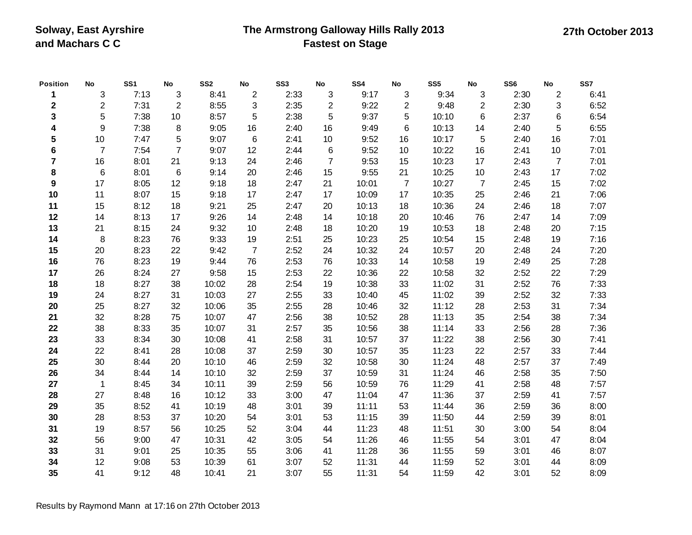### **The Armstrong Galloway Hills Rally 2013 Fastest on Stage**

**Position No SS1 No SS2 No SS3 No SS4 No SS5 No SS6 No SS7** 3 7:13 3 8:41 2 2:33 3 9:17 3 9:34 3 2:30 2 6:41 2 7:31 2 8:55 3 2:35 2 9:22 2 9:48 2 2:30 3 6:52 5 7:38 10 8:57 5 2:38 5 9:37 5 10:10 6 2:37 6 6:54 9 7:38 8 9:05 16 2:40 16 9:49 6 10:13 14 2:40 5 6:55 10 7:47 5 9:07 6 2:41 10 9:52 16 10:17 5 2:40 16 7:01 7 7:54 7 9:07 12 2:44 6 9:52 10 10:22 16 2:41 10 7:01 16 8:01 21 9:13 24 2:46 7 9:53 15 10:23 17 2:43 7 7:01 6 8:01 6 9:14 20 2:46 15 9:55 21 10:25 10 2:43 17 7:02 17 8:05 12 9:18 18 2:47 21 10:01 7 10:27 7 2:45 15 7:02 11 8:07 15 9:18 17 2:47 17 10:09 17 10:35 25 2:46 21 7:06 15 8:12 18 9:21 25 2:47 20 10:13 18 10:36 24 2:46 18 7:07 14 8:13 17 9:26 14 2:48 14 10:18 20 10:46 76 2:47 14 7:09 21 8:15 24 9:32 10 2:48 18 10:20 19 10:53 18 2:48 20 7:15 8 8:23 76 9:33 19 2:51 25 10:23 25 10:54 15 2:48 19 7:16 20 8:23 22 9:42 7 2:52 24 10:32 24 10:57 20 2:48 24 7:20 76 8:23 19 9:44 76 2:53 76 10:33 14 10:58 19 2:49 25 7:28 26 8:24 27 9:58 15 2:53 22 10:36 22 10:58 32 2:52 22 7:29 18 8:27 38 10:02 28 2:54 19 10:38 33 11:02 31 2:52 76 7:33 24 8:27 31 10:03 27 2:55 33 10:40 45 11:02 39 2:52 32 7:33 25 8:27 32 10:06 35 2:55 28 10:46 32 11:12 28 2:53 31 7:34 32 8:28 75 10:07 47 2:56 38 10:52 28 11:13 35 2:54 38 7:34 38 8:33 35 10:07 31 2:57 35 10:56 38 11:14 33 2:56 28 7:36 33 8:34 30 10:08 41 2:58 31 10:57 37 11:22 38 2:56 30 7:41 22 8:41 28 10:08 37 2:59 30 10:57 35 11:23 22 2:57 33 7:44 30 8:44 20 10:10 46 2:59 32 10:58 30 11:24 48 2:57 37 7:49 34 8:44 14 10:10 32 2:59 37 10:59 31 11:24 46 2:58 35 7:50 1 8:45 34 10:11 39 2:59 56 10:59 76 11:29 41 2:58 48 7:57 27 8:48 16 10:12 33 3:00 47 11:04 47 11:36 37 2:59 41 7:57 35 8:52 41 10:19 48 3:01 39 11:11 53 11:44 36 2:59 36 8:00 28 8:53 37 10:20 54 3:01 53 11:15 39 11:50 44 2:59 39 8:01 19 8:57 56 10:25 52 3:04 44 11:23 48 11:51 30 3:00 54 8:04 56 9:00 47 10:31 42 3:05 54 11:26 46 11:55 54 3:01 47 8:04 31 9:01 25 10:35 55 3:06 41 11:28 36 11:55 59 3:01 46 8:07 12 9:08 53 10:39 61 3:07 52 11:31 44 11:59 52 3:01 44 8:09 41 9:12 48 10:41 21 3:07 55 11:31 54 11:59 42 3:01 52 8:09